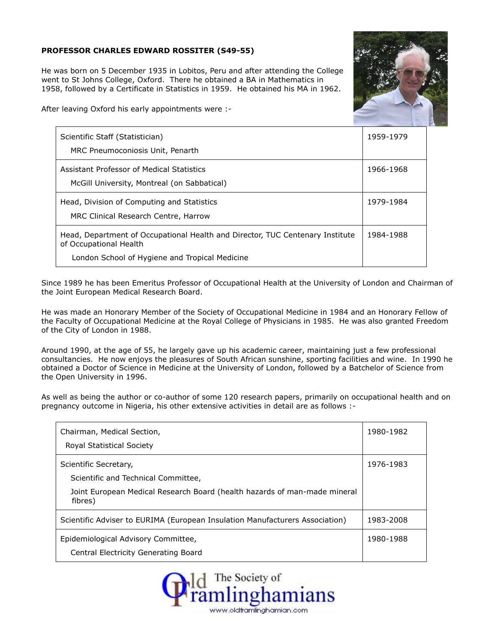## **PROFESSOR CHARLES EDWARD ROSSITER (S49-55)**

He was born on 5 December 1935 in Lobitos, Peru and after attending the College went to St Johns College, Oxford. There he obtained a BA in Mathematics in 1958, followed by a Certificate in Statistics in 1959. He obtained his MA in 1962.



After leaving Oxford his early appointments were :-

| Scientific Staff (Statistician)<br>MRC Pneumoconiosis Unit, Penarth                                                                                       | 1959-1979 |
|-----------------------------------------------------------------------------------------------------------------------------------------------------------|-----------|
| Assistant Professor of Medical Statistics<br>McGill University, Montreal (on Sabbatical)                                                                  | 1966-1968 |
| Head, Division of Computing and Statistics<br>MRC Clinical Research Centre, Harrow                                                                        | 1979-1984 |
| Head, Department of Occupational Health and Director, TUC Centenary Institute<br>of Occupational Health<br>London School of Hygiene and Tropical Medicine | 1984-1988 |

Since 1989 he has been Emeritus Professor of Occupational Health at the University of London and Chairman of the Joint European Medical Research Board.

He was made an Honorary Member of the Society of Occupational Medicine in 1984 and an Honorary Fellow of the Faculty of Occupational Medicine at the Royal College of Physicians in 1985. He was also granted Freedom of the City of London in 1988.

Around 1990, at the age of 55, he largely gave up his academic career, maintaining just a few professional consultancies. He now enjoys the pleasures of South African sunshine, sporting facilities and wine. In 1990 he obtained a Doctor of Science in Medicine at the University of London, followed by a Batchelor of Science from the Open University in 1996.

As well as being the author or co-author of some 120 research papers, primarily on occupational health and on pregnancy outcome in Nigeria, his other extensive activities in detail are as follows :-

| Chairman, Medical Section,<br><b>Royal Statistical Society</b>                                                                                       | 1980-1982 |
|------------------------------------------------------------------------------------------------------------------------------------------------------|-----------|
| Scientific Secretary,<br>Scientific and Technical Committee,<br>Joint European Medical Research Board (health hazards of man-made mineral<br>fibres) | 1976-1983 |
| Scientific Adviser to EURIMA (European Insulation Manufacturers Association)                                                                         | 1983-2008 |
| Epidemiological Advisory Committee,<br>Central Electricity Generating Board                                                                          | 1980-1988 |

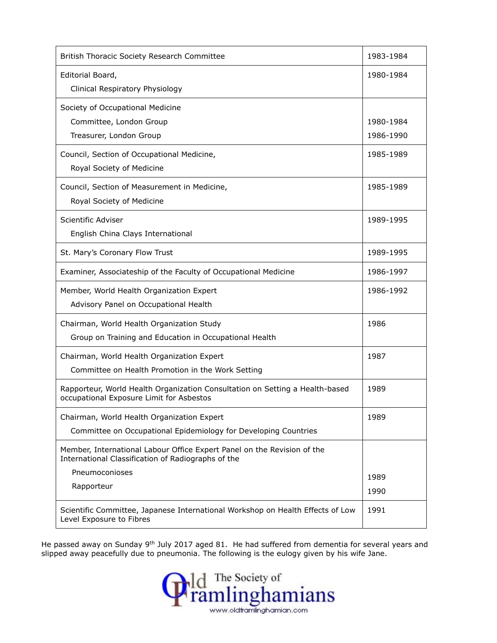| British Thoracic Society Research Committee                                                                                   | 1983-1984              |
|-------------------------------------------------------------------------------------------------------------------------------|------------------------|
| Editorial Board,<br>Clinical Respiratory Physiology                                                                           | 1980-1984              |
| Society of Occupational Medicine<br>Committee, London Group<br>Treasurer, London Group                                        | 1980-1984<br>1986-1990 |
| Council, Section of Occupational Medicine,<br>Royal Society of Medicine                                                       | 1985-1989              |
| Council, Section of Measurement in Medicine,<br>Royal Society of Medicine                                                     | 1985-1989              |
| Scientific Adviser<br>English China Clays International                                                                       | 1989-1995              |
| St. Mary's Coronary Flow Trust                                                                                                | 1989-1995              |
| Examiner, Associateship of the Faculty of Occupational Medicine                                                               | 1986-1997              |
| Member, World Health Organization Expert<br>Advisory Panel on Occupational Health                                             | 1986-1992              |
| Chairman, World Health Organization Study<br>Group on Training and Education in Occupational Health                           | 1986                   |
| Chairman, World Health Organization Expert<br>Committee on Health Promotion in the Work Setting                               | 1987                   |
| Rapporteur, World Health Organization Consultation on Setting a Health-based<br>occupational Exposure Limit for Asbestos      | 1989                   |
| Chairman, World Health Organization Expert<br>Committee on Occupational Epidemiology for Developing Countries                 | 1989                   |
| Member, International Labour Office Expert Panel on the Revision of the<br>International Classification of Radiographs of the |                        |
| Pneumoconioses<br>Rapporteur                                                                                                  | 1989<br>1990           |
| Scientific Committee, Japanese International Workshop on Health Effects of Low<br>Level Exposure to Fibres                    | 1991                   |

He passed away on Sunday 9<sup>th</sup> July 2017 aged 81. He had suffered from dementia for several years and slipped away peacefully due to pneumonia. The following is the eulogy given by his wife Jane.

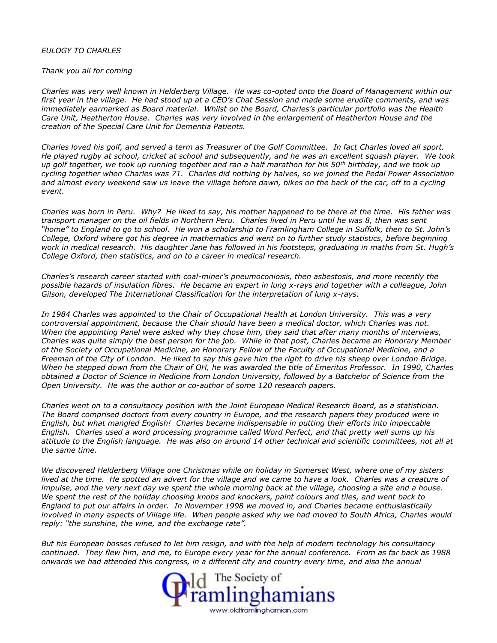## *EULOGY TO CHARLES*

## *Thank you all for coming*

*Charles was very well known in Helderberg Village. He was co-opted onto the Board of Management within our first year in the village. He had stood up at a CEO's Chat Session and made some erudite comments, and was immediately earmarked as Board material. Whilst on the Board, Charles's particular portfolio was the Health Care Unit, Heatherton House. Charles was very involved in the enlargement of Heatherton House and the creation of the Special Care Unit for Dementia Patients.*

*Charles loved his golf, and served a term as Treasurer of the Golf Committee. In fact Charles loved all sport. He played rugby at school, cricket at school and subsequently, and he was an excellent squash player. We took up golf together, we took up running together and ran a half marathon for his 50th birthday, and we took up cycling together when Charles was 71. Charles did nothing by halves, so we joined the Pedal Power Association and almost every weekend saw us leave the village before dawn, bikes on the back of the car, off to a cycling event.*

*Charles was born in Peru. Why? He liked to say, his mother happened to be there at the time. His father was transport manager on the oil fields in Northern Peru. Charles lived in Peru until he was 8, then was sent "home" to England to go to school. He won a scholarship to Framlingham College in Suffolk, then to St. John's College, Oxford where got his degree in mathematics and went on to further study statistics, before beginning work in medical research. His daughter Jane has followed in his footsteps, graduating in maths from St. Hugh's College Oxford, then statistics, and on to a career in medical research.*

*Charles's research career started with coal-miner's pneumoconiosis, then asbestosis, and more recently the possible hazards of insulation fibres. He became an expert in lung x-rays and together with a colleague, John Gilson, developed The International Classification for the interpretation of lung x-rays.*

*In 1984 Charles was appointed to the Chair of Occupational Health at London University. This was a very controversial appointment, because the Chair should have been a medical doctor, which Charles was not. When the appointing Panel were asked why they chose him, they said that after many months of interviews, Charles was quite simply the best person for the job. While in that post, Charles became an Honorary Member of the Society of Occupational Medicine, an Honorary Fellow of the Faculty of Occupational Medicine, and a Freeman of the City of London. He liked to say this gave him the right to drive his sheep over London Bridge. When he stepped down from the Chair of OH, he was awarded the title of Emeritus Professor. In 1990, Charles obtained a Doctor of Science in Medicine from London University, followed by a Batchelor of Science from the Open University. He was the author or co-author of some 120 research papers.*

*Charles went on to a consultancy position with the Joint European Medical Research Board, as a statistician. The Board comprised doctors from every country in Europe, and the research papers they produced were in English, but what mangled English! Charles became indispensable in putting their efforts into impeccable English. Charles used a word processing programme called Word Perfect, and that pretty well sums up his attitude to the English language. He was also on around 14 other technical and scientific committees, not all at the same time.*

*We discovered Helderberg Village one Christmas while on holiday in Somerset West, where one of my sisters lived at the time. He spotted an advert for the village and we came to have a look. Charles was a creature of impulse, and the very next day we spent the whole morning back at the village, choosing a site and a house. We spent the rest of the holiday choosing knobs and knockers, paint colours and tiles, and went back to England to put our affairs in order. In November 1998 we moved in, and Charles became enthusiastically involved in many aspects of Village life. When people asked why we had moved to South Africa, Charles would reply: "the sunshine, the wine, and the exchange rate".*

*But his European bosses refused to let him resign, and with the help of modern technology his consultancy continued. They flew him, and me, to Europe every year for the annual conference. From as far back as 1988 onwards we had attended this congress, in a different city and country every time, and also the annual*